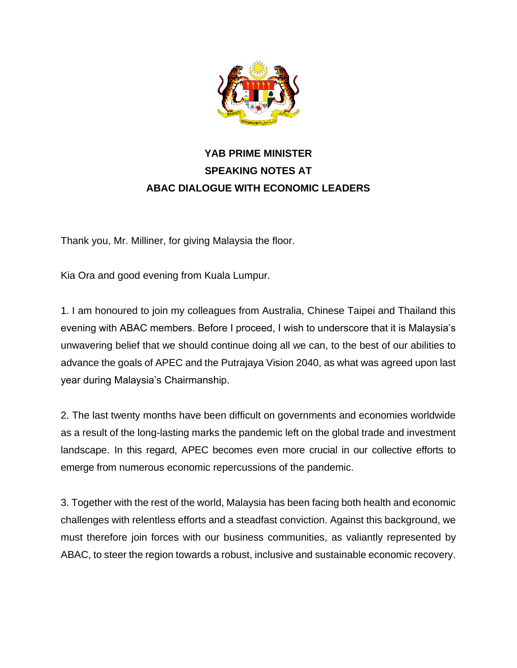

## **YAB PRIME MINISTER SPEAKING NOTES AT ABAC DIALOGUE WITH ECONOMIC LEADERS**

Thank you, Mr. Milliner, for giving Malaysia the floor.

Kia Ora and good evening from Kuala Lumpur.

1. I am honoured to join my colleagues from Australia, Chinese Taipei and Thailand this evening with ABAC members. Before I proceed, I wish to underscore that it is Malaysia's unwavering belief that we should continue doing all we can, to the best of our abilities to advance the goals of APEC and the Putrajaya Vision 2040, as what was agreed upon last year during Malaysia's Chairmanship.

2. The last twenty months have been difficult on governments and economies worldwide as a result of the long-lasting marks the pandemic left on the global trade and investment landscape. In this regard, APEC becomes even more crucial in our collective efforts to emerge from numerous economic repercussions of the pandemic.

3. Together with the rest of the world, Malaysia has been facing both health and economic challenges with relentless efforts and a steadfast conviction. Against this background, we must therefore join forces with our business communities, as valiantly represented by ABAC, to steer the region towards a robust, inclusive and sustainable economic recovery.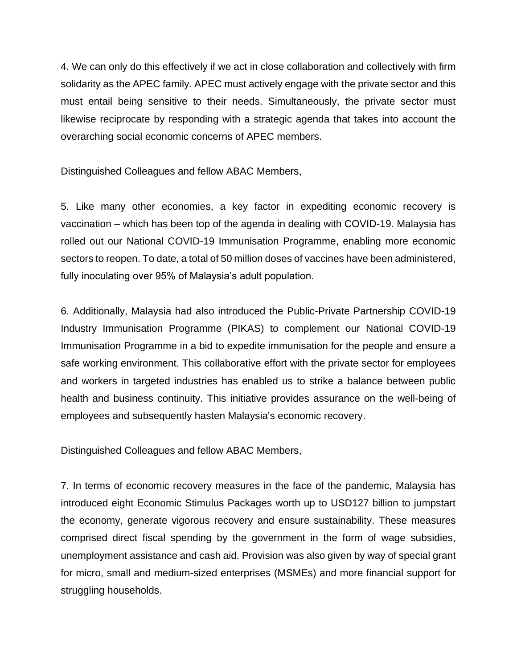4. We can only do this effectively if we act in close collaboration and collectively with firm solidarity as the APEC family. APEC must actively engage with the private sector and this must entail being sensitive to their needs. Simultaneously, the private sector must likewise reciprocate by responding with a strategic agenda that takes into account the overarching social economic concerns of APEC members.

Distinguished Colleagues and fellow ABAC Members,

5. Like many other economies, a key factor in expediting economic recovery is vaccination – which has been top of the agenda in dealing with COVID-19. Malaysia has rolled out our National COVID-19 Immunisation Programme, enabling more economic sectors to reopen. To date, a total of 50 million doses of vaccines have been administered, fully inoculating over 95% of Malaysia's adult population.

6. Additionally, Malaysia had also introduced the Public-Private Partnership COVID-19 Industry Immunisation Programme (PIKAS) to complement our National COVID-19 Immunisation Programme in a bid to expedite immunisation for the people and ensure a safe working environment. This collaborative effort with the private sector for employees and workers in targeted industries has enabled us to strike a balance between public health and business continuity. This initiative provides assurance on the well-being of employees and subsequently hasten Malaysia's economic recovery.

Distinguished Colleagues and fellow ABAC Members,

7. In terms of economic recovery measures in the face of the pandemic, Malaysia has introduced eight Economic Stimulus Packages worth up to USD127 billion to jumpstart the economy, generate vigorous recovery and ensure sustainability. These measures comprised direct fiscal spending by the government in the form of wage subsidies, unemployment assistance and cash aid. Provision was also given by way of special grant for micro, small and medium-sized enterprises (MSMEs) and more financial support for struggling households.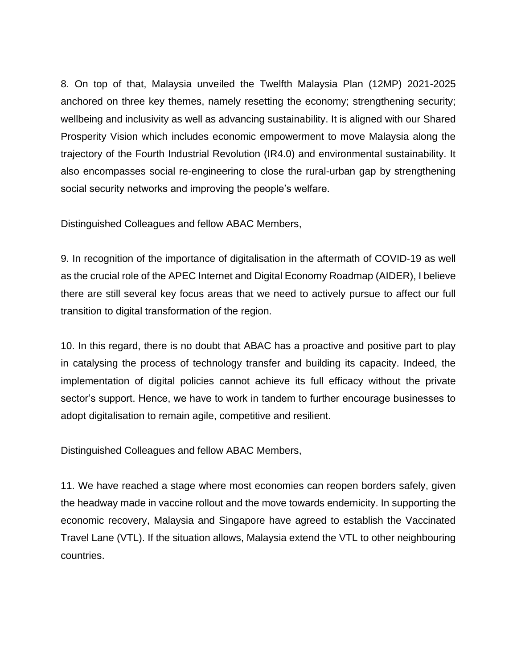8. On top of that, Malaysia unveiled the Twelfth Malaysia Plan (12MP) 2021-2025 anchored on three key themes, namely resetting the economy; strengthening security; wellbeing and inclusivity as well as advancing sustainability. It is aligned with our Shared Prosperity Vision which includes economic empowerment to move Malaysia along the trajectory of the Fourth Industrial Revolution (IR4.0) and environmental sustainability. It also encompasses social re-engineering to close the rural-urban gap by strengthening social security networks and improving the people's welfare.

Distinguished Colleagues and fellow ABAC Members,

9. In recognition of the importance of digitalisation in the aftermath of COVID-19 as well as the crucial role of the APEC Internet and Digital Economy Roadmap (AIDER), I believe there are still several key focus areas that we need to actively pursue to affect our full transition to digital transformation of the region.

10. In this regard, there is no doubt that ABAC has a proactive and positive part to play in catalysing the process of technology transfer and building its capacity. Indeed, the implementation of digital policies cannot achieve its full efficacy without the private sector's support. Hence, we have to work in tandem to further encourage businesses to adopt digitalisation to remain agile, competitive and resilient.

Distinguished Colleagues and fellow ABAC Members,

11. We have reached a stage where most economies can reopen borders safely, given the headway made in vaccine rollout and the move towards endemicity. In supporting the economic recovery, Malaysia and Singapore have agreed to establish the Vaccinated Travel Lane (VTL). If the situation allows, Malaysia extend the VTL to other neighbouring countries.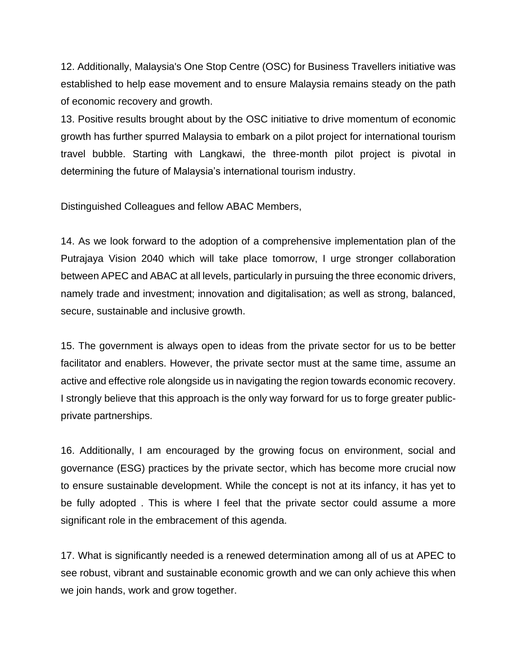12. Additionally, Malaysia's One Stop Centre (OSC) for Business Travellers initiative was established to help ease movement and to ensure Malaysia remains steady on the path of economic recovery and growth.

13. Positive results brought about by the OSC initiative to drive momentum of economic growth has further spurred Malaysia to embark on a pilot project for international tourism travel bubble. Starting with Langkawi, the three-month pilot project is pivotal in determining the future of Malaysia's international tourism industry.

Distinguished Colleagues and fellow ABAC Members,

14. As we look forward to the adoption of a comprehensive implementation plan of the Putrajaya Vision 2040 which will take place tomorrow, I urge stronger collaboration between APEC and ABAC at all levels, particularly in pursuing the three economic drivers, namely trade and investment; innovation and digitalisation; as well as strong, balanced, secure, sustainable and inclusive growth.

15. The government is always open to ideas from the private sector for us to be better facilitator and enablers. However, the private sector must at the same time, assume an active and effective role alongside us in navigating the region towards economic recovery. I strongly believe that this approach is the only way forward for us to forge greater publicprivate partnerships.

16. Additionally, I am encouraged by the growing focus on environment, social and governance (ESG) practices by the private sector, which has become more crucial now to ensure sustainable development. While the concept is not at its infancy, it has yet to be fully adopted . This is where I feel that the private sector could assume a more significant role in the embracement of this agenda.

17. What is significantly needed is a renewed determination among all of us at APEC to see robust, vibrant and sustainable economic growth and we can only achieve this when we join hands, work and grow together.